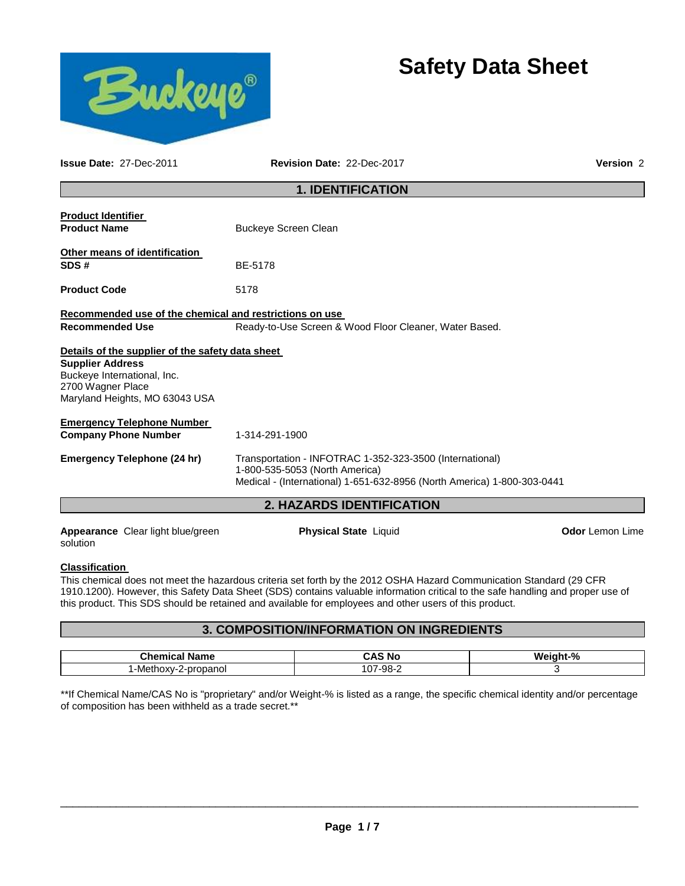



| <b>Issue Date: 27-Dec-2011</b>                                                                                                                                    | Revision Date: 22-Dec-2017                                                                                                                                            | <b>Version 2</b>       |  |  |
|-------------------------------------------------------------------------------------------------------------------------------------------------------------------|-----------------------------------------------------------------------------------------------------------------------------------------------------------------------|------------------------|--|--|
|                                                                                                                                                                   | <b>1. IDENTIFICATION</b>                                                                                                                                              |                        |  |  |
| <b>Product Identifier</b><br><b>Product Name</b>                                                                                                                  | <b>Buckeye Screen Clean</b>                                                                                                                                           |                        |  |  |
| Other means of identification<br>SDS#                                                                                                                             | BE-5178                                                                                                                                                               |                        |  |  |
| <b>Product Code</b>                                                                                                                                               | 5178                                                                                                                                                                  |                        |  |  |
| Recommended use of the chemical and restrictions on use<br><b>Recommended Use</b>                                                                                 | Ready-to-Use Screen & Wood Floor Cleaner, Water Based.                                                                                                                |                        |  |  |
| Details of the supplier of the safety data sheet<br><b>Supplier Address</b><br>Buckeye International, Inc.<br>2700 Wagner Place<br>Maryland Heights, MO 63043 USA |                                                                                                                                                                       |                        |  |  |
| <b>Emergency Telephone Number</b><br><b>Company Phone Number</b>                                                                                                  | 1-314-291-1900                                                                                                                                                        |                        |  |  |
| <b>Emergency Telephone (24 hr)</b>                                                                                                                                | Transportation - INFOTRAC 1-352-323-3500 (International)<br>1-800-535-5053 (North America)<br>Medical - (International) 1-651-632-8956 (North America) 1-800-303-0441 |                        |  |  |
|                                                                                                                                                                   | 2. HAZARDS IDENTIFICATION                                                                                                                                             |                        |  |  |
| Appearance Clear light blue/green<br>solution                                                                                                                     | <b>Physical State Liquid</b>                                                                                                                                          | <b>Odor</b> Lemon Lime |  |  |

#### **Classification**

This chemical does not meet the hazardous criteria set forth by the 2012 OSHA Hazard Communication Standard (29 CFR 1910.1200). However, this Safety Data Sheet (SDS) contains valuable information critical to the safe handling and proper use of this product. This SDS should be retained and available for employees and other users of this product.

#### **3. COMPOSITION/INFORMATION ON INGREDIENTS**

| Chem<br>Name<br>шьа          | - -<br>۸ с<br>: No<br>בחכ | eight-%<br>W |
|------------------------------|---------------------------|--------------|
| <b>ropanoi</b><br>-Methoxv-: | $-98-$<br>107             |              |

\*\*If Chemical Name/CAS No is "proprietary" and/or Weight-% is listed as a range, the specific chemical identity and/or percentage of composition has been withheld as a trade secret.\*\*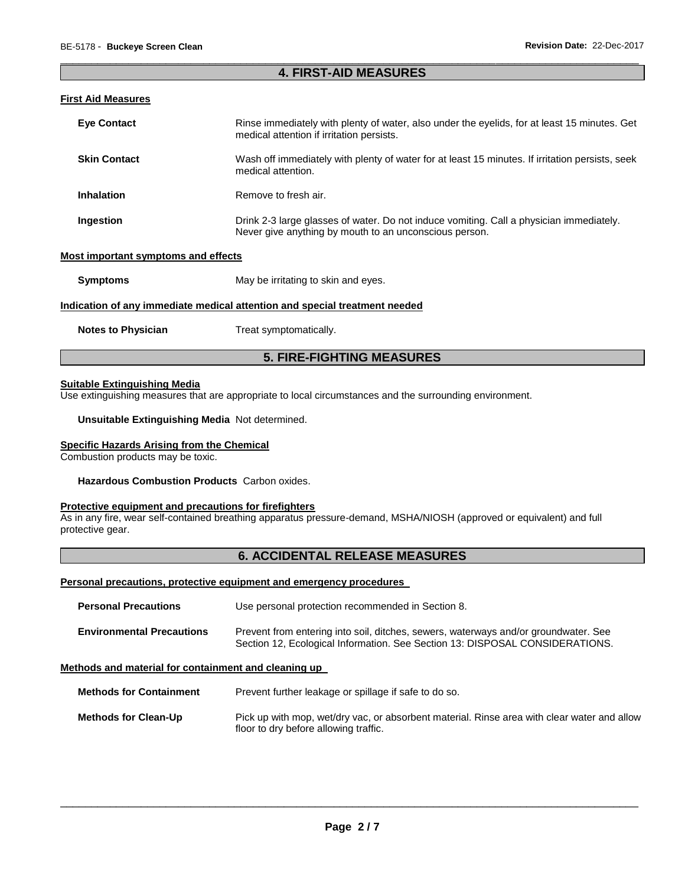#### \_\_\_\_\_\_\_\_\_\_\_\_\_\_\_\_\_\_\_\_\_\_\_\_\_\_\_\_\_\_\_\_\_\_\_\_\_\_\_\_\_\_\_\_\_\_\_\_\_\_\_\_\_\_\_\_\_\_\_\_\_\_\_\_\_\_\_\_\_\_\_\_\_\_\_\_\_\_\_\_\_\_\_\_\_\_\_\_\_\_\_\_\_ **4. FIRST-AID MEASURES**

#### **First Aid Measures**

| <b>Eve Contact</b>                  | Rinse immediately with plenty of water, also under the eyelids, for at least 15 minutes. Get<br>medical attention if irritation persists.         |
|-------------------------------------|---------------------------------------------------------------------------------------------------------------------------------------------------|
| <b>Skin Contact</b>                 | Wash off immediately with plenty of water for at least 15 minutes. If irritation persists, seek<br>medical attention.                             |
| <b>Inhalation</b>                   | Remove to fresh air.                                                                                                                              |
| Ingestion                           | Drink 2-3 large glasses of water. Do not induce vomiting. Call a physician immediately.<br>Never give anything by mouth to an unconscious person. |
| Most important symptoms and effects |                                                                                                                                                   |
| <b>Symptoms</b>                     | May be irritating to skin and eyes.                                                                                                               |
|                                     | Indication of any immediate medical attention and special treatment needed                                                                        |
|                                     |                                                                                                                                                   |

## **Notes to Physician Treat symptomatically.**

## **5. FIRE-FIGHTING MEASURES**

#### **Suitable Extinguishing Media**

Use extinguishing measures that are appropriate to local circumstances and the surrounding environment.

#### **Unsuitable Extinguishing Media** Not determined.

#### **Specific Hazards Arising from the Chemical**

Combustion products may be toxic.

**Hazardous Combustion Products** Carbon oxides.

## **Protective equipment and precautions for firefighters**

As in any fire, wear self-contained breathing apparatus pressure-demand, MSHA/NIOSH (approved or equivalent) and full protective gear.

## **6. ACCIDENTAL RELEASE MEASURES**

#### **Personal precautions, protective equipment and emergency procedures**

| <b>Personal Precautions</b>      | Use personal protection recommended in Section 8.                                                                                                                   |
|----------------------------------|---------------------------------------------------------------------------------------------------------------------------------------------------------------------|
| <b>Environmental Precautions</b> | Prevent from entering into soil, ditches, sewers, waterways and/or groundwater. See<br>Section 12, Ecological Information. See Section 13: DISPOSAL CONSIDERATIONS. |

#### **Methods and material for containment and cleaning up**

**Methods for Containment** Prevent further leakage or spillage if safe to do so.

**Methods for Clean-Up** Pick up with mop, wet/dry vac, or absorbent material. Rinse area with clear water and allow floor to dry before allowing traffic.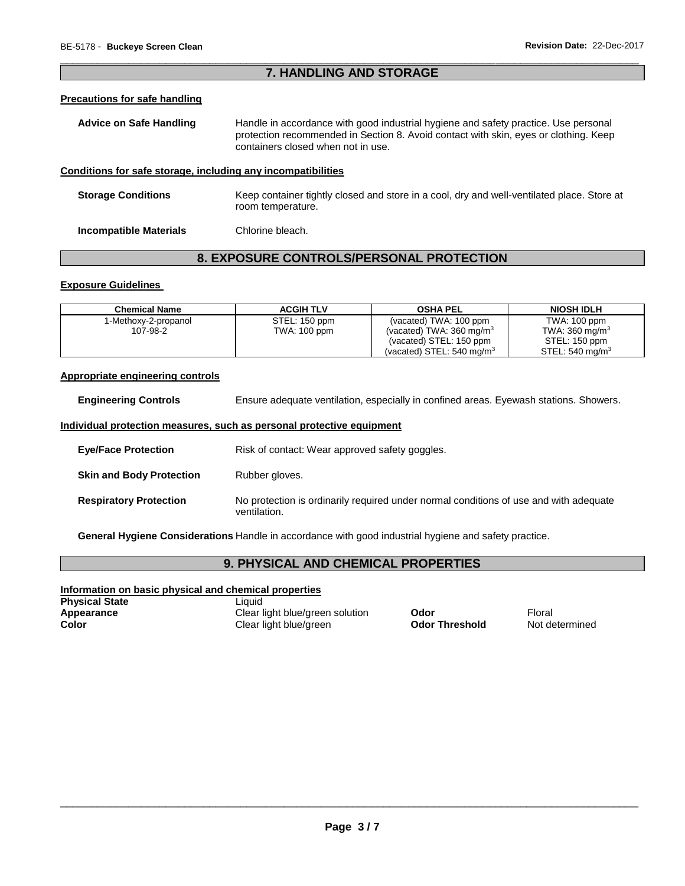#### \_\_\_\_\_\_\_\_\_\_\_\_\_\_\_\_\_\_\_\_\_\_\_\_\_\_\_\_\_\_\_\_\_\_\_\_\_\_\_\_\_\_\_\_\_\_\_\_\_\_\_\_\_\_\_\_\_\_\_\_\_\_\_\_\_\_\_\_\_\_\_\_\_\_\_\_\_\_\_\_\_\_\_\_\_\_\_\_\_\_\_\_\_ **7. HANDLING AND STORAGE**

#### **Precautions for safe handling**

| Advice on Safe Handling | Handle in accordance with good industrial hygiene and safety practice. Use personal  |
|-------------------------|--------------------------------------------------------------------------------------|
|                         | protection recommended in Section 8. Avoid contact with skin, eyes or clothing. Keep |
|                         | containers closed when not in use.                                                   |

#### **Conditions for safe storage, including any incompatibilities**

| <b>Storage Conditions</b>     | Keep container tightly closed and store in a cool, dry and well-ventilated place. Store at<br>room temperature. |
|-------------------------------|-----------------------------------------------------------------------------------------------------------------|
| <b>Incompatible Materials</b> | Chlorine bleach.                                                                                                |

## **8. EXPOSURE CONTROLS/PERSONAL PROTECTION**

#### **Exposure Guidelines**

| <b>Chemical Name</b> | <b>ACGIH TLV</b> | <b>OSHA PEL</b>                      | <b>NIOSH IDLH</b>          |
|----------------------|------------------|--------------------------------------|----------------------------|
| 1-Methoxy-2-propanol | STEL: 150 ppm    | (vacated) TWA: 100 ppm               | TWA: 100 ppm               |
| 107-98-2             | TWA: 100 ppm     | (vacated) TWA: $360 \text{ mg/m}^3$  | TWA: $360 \text{ mg/m}^3$  |
|                      |                  | (vacated) STEL: 150 ppm              | STEL: 150 ppm              |
|                      |                  | (vacated) STEL: $540 \text{ mg/m}^3$ | STEL: $540 \text{ mg/m}^3$ |

#### **Appropriate engineering controls**

**Engineering Controls** Ensure adequate ventilation, especially in confined areas. Eyewash stations. Showers.

#### **Individual protection measures, such as personal protective equipment**

**Eye/Face Protection Risk of contact: Wear approved safety goggles. Skin and Body Protection •• Rubber gloves. Respiratory Protection** No protection is ordinarily required under normal conditions of use and with adequate ventilation.

**General Hygiene Considerations** Handle in accordance with good industrial hygiene and safety practice.

### **9. PHYSICAL AND CHEMICAL PROPERTIES**

**Information on basic physical and chemical properties**

| <b>Physical State</b> | Liauid                          |                       |        |
|-----------------------|---------------------------------|-----------------------|--------|
| Appearance            | Clear light blue/green solution | Odor                  | Floral |
| Color                 | Clear light blue/green          | <b>Odor Threshold</b> | Not de |

**Color Threshold** Not determined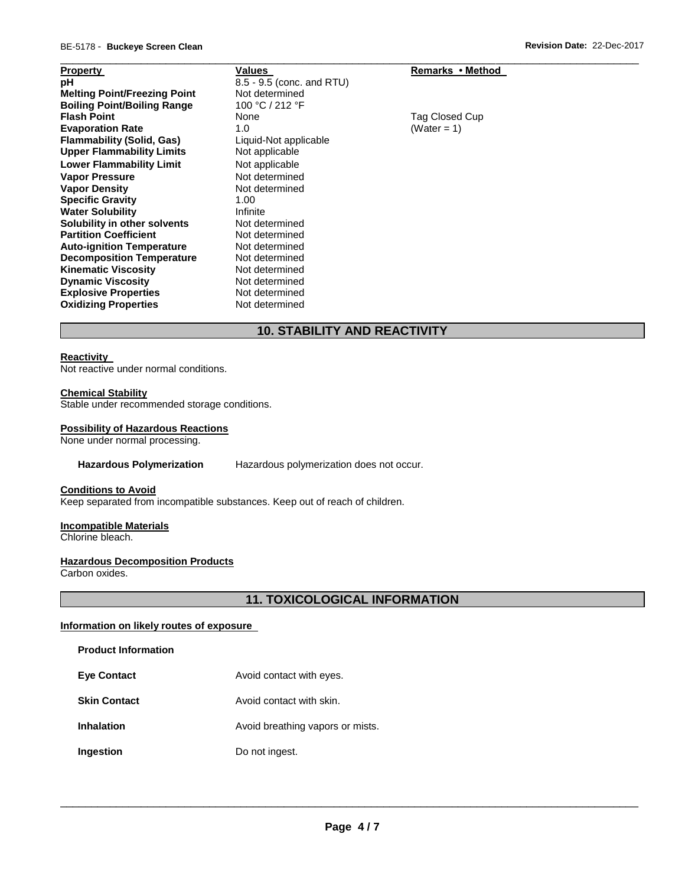| <b>Property</b>                     | Values                    | Remarks • Method |  |
|-------------------------------------|---------------------------|------------------|--|
| рH                                  | 8.5 - 9.5 (conc. and RTU) |                  |  |
| <b>Melting Point/Freezing Point</b> | Not determined            |                  |  |
| <b>Boiling Point/Boiling Range</b>  | 100 °C / 212 °F           |                  |  |
| <b>Flash Point</b>                  | None                      | Tag Closed Cup   |  |
| <b>Evaporation Rate</b>             | 1.0                       | (Water = 1)      |  |
| <b>Flammability (Solid, Gas)</b>    | Liquid-Not applicable     |                  |  |
| <b>Upper Flammability Limits</b>    | Not applicable            |                  |  |
| <b>Lower Flammability Limit</b>     | Not applicable            |                  |  |
| <b>Vapor Pressure</b>               | Not determined            |                  |  |
| <b>Vapor Density</b>                | Not determined            |                  |  |
| <b>Specific Gravity</b>             | 1.00                      |                  |  |
| <b>Water Solubility</b>             | Infinite                  |                  |  |
| Solubility in other solvents        | Not determined            |                  |  |
| <b>Partition Coefficient</b>        | Not determined            |                  |  |
| <b>Auto-ignition Temperature</b>    | Not determined            |                  |  |
| <b>Decomposition Temperature</b>    | Not determined            |                  |  |
| <b>Kinematic Viscosity</b>          | Not determined            |                  |  |
| <b>Dynamic Viscosity</b>            | Not determined            |                  |  |
| <b>Explosive Properties</b>         | Not determined            |                  |  |
| <b>Oxidizing Properties</b>         | Not determined            |                  |  |

## **10. STABILITY AND REACTIVITY**

#### **Reactivity**

Not reactive under normal conditions.

#### **Chemical Stability**

Stable under recommended storage conditions.

#### **Possibility of Hazardous Reactions**

None under normal processing.

**Hazardous Polymerization** Hazardous polymerization does not occur.

#### **Conditions to Avoid**

Keep separated from incompatible substances. Keep out of reach of children.

## **Incompatible Materials**

Chlorine bleach.

#### **Hazardous Decomposition Products**

Carbon oxides.

## **11. TOXICOLOGICAL INFORMATION**

#### **Information on likely routes of exposure**

#### **Product Information**

- **Eye Contact Avoid contact with eyes.**
- **Skin Contact Avoid contact with skin.**
- **Inhalation Avoid breathing vapors or mists.**
- **Ingestion Do not ingest.**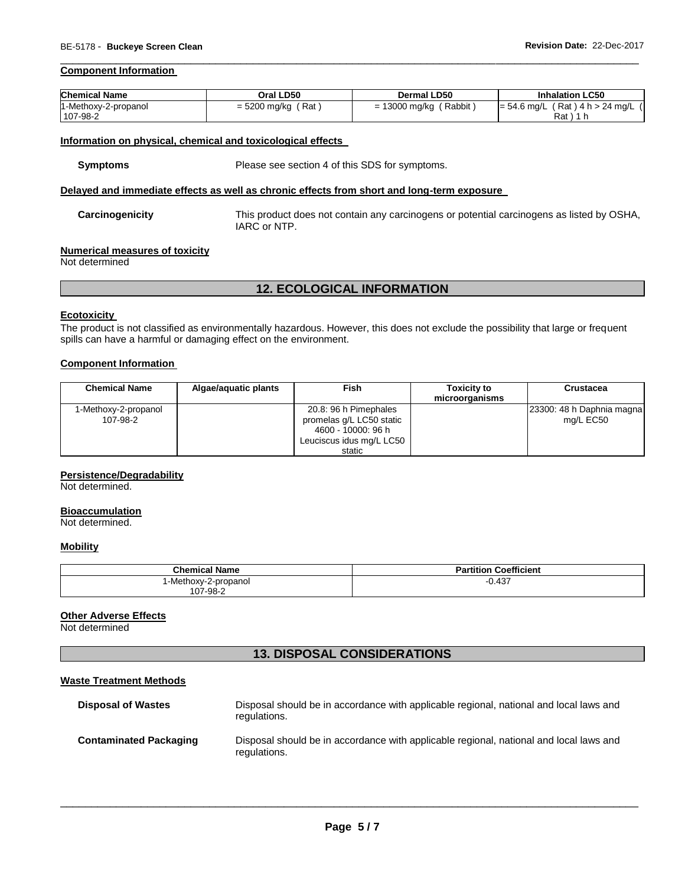#### **Component Information**

| <b>Chemical Name</b>             | Oral LD50             | <b>Dermal LD50</b>           | <b>Inhalation LC50</b>                       |
|----------------------------------|-----------------------|------------------------------|----------------------------------------------|
| 1-Methoxy-2-propanol<br>107-98-2 | Rat<br>$= 5200$ mg/kg | Rabbit<br>13000 mg/kg<br>$=$ | (Rat ) 4 h > 24 mg/L<br>$= 54.6$ ma/L<br>Rat |

\_\_\_\_\_\_\_\_\_\_\_\_\_\_\_\_\_\_\_\_\_\_\_\_\_\_\_\_\_\_\_\_\_\_\_\_\_\_\_\_\_\_\_\_\_\_\_\_\_\_\_\_\_\_\_\_\_\_\_\_\_\_\_\_\_\_\_\_\_\_\_\_\_\_\_\_\_\_\_\_\_\_\_\_\_\_\_\_\_\_\_\_\_

#### **Information on physical, chemical and toxicological effects**

**Symptoms** Please see section 4 of this SDS for symptoms.

#### **Delayed and immediate effects as well as chronic effects from short and long-term exposure**

**Carcinogenicity** This product does not contain any carcinogens or potential carcinogens as listed by OSHA, IARC or NTP.

#### **Numerical measures of toxicity**

Not determined

### **12. ECOLOGICAL INFORMATION**

#### **Ecotoxicity**

The product is not classified as environmentally hazardous. However, this does not exclude the possibility that large or frequent spills can have a harmful or damaging effect on the environment.

#### **Component Information**

| <b>Chemical Name</b>             | Algae/aguatic plants | Fish                                                                                                | <b>Toxicity to</b><br>microorganisms | <b>Crustacea</b>                       |
|----------------------------------|----------------------|-----------------------------------------------------------------------------------------------------|--------------------------------------|----------------------------------------|
| 1-Methoxy-2-propanol<br>107-98-2 |                      | 20.8: 96 h Pimephales<br>promelas g/L LC50 static<br>4600 - 10000: 96 h<br>Leuciscus idus mg/L LC50 |                                      | 23300: 48 h Daphnia magna<br>mg/L EC50 |
|                                  |                      | static                                                                                              |                                      |                                        |

#### **Persistence/Degradability**

Not determined.

#### **Bioaccumulation**

Not determined.

#### **Mobility**

| <b>Chemical Name</b> | <b>Coefficient</b><br>Partition |
|----------------------|---------------------------------|
| I-Methoxy-2-propanol | 0.437<br>-<br>$\sim$ $\sim$     |
| 107-98-2             |                                 |

#### **Other Adverse Effects**

Not determined

## **13. DISPOSAL CONSIDERATIONS**

#### **Waste Treatment Methods**

| <b>Disposal of Wastes</b>     | Disposal should be in accordance with applicable regional, national and local laws and<br>regulations. |
|-------------------------------|--------------------------------------------------------------------------------------------------------|
| <b>Contaminated Packaging</b> | Disposal should be in accordance with applicable regional, national and local laws and<br>regulations. |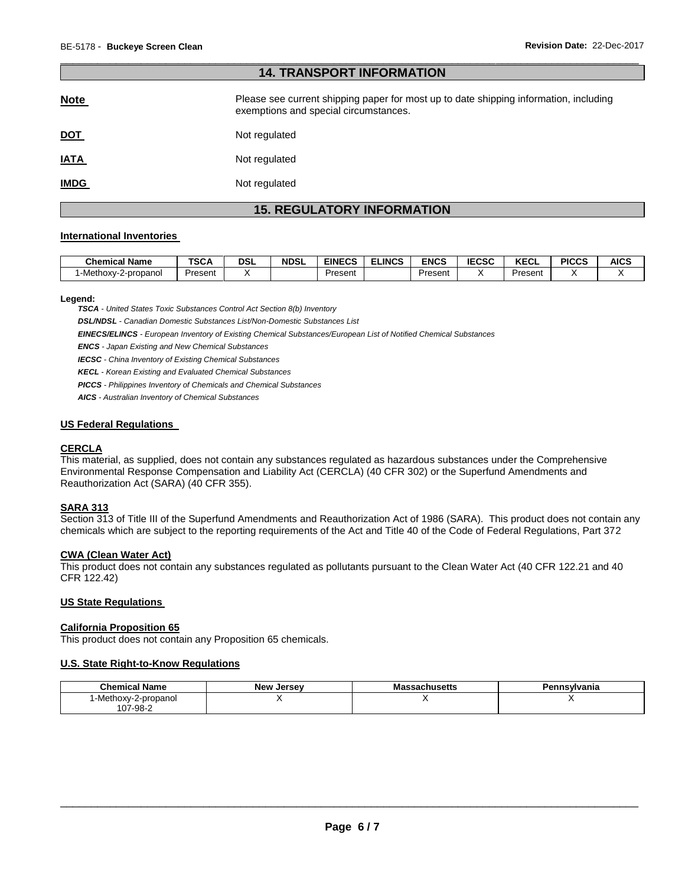# **14. TRANSPORT INFORMATION Note Please see current shipping paper for most up to date shipping information, including** exemptions and special circumstances. **DOT** Not regulated **IATA** Not regulated

\_\_\_\_\_\_\_\_\_\_\_\_\_\_\_\_\_\_\_\_\_\_\_\_\_\_\_\_\_\_\_\_\_\_\_\_\_\_\_\_\_\_\_\_\_\_\_\_\_\_\_\_\_\_\_\_\_\_\_\_\_\_\_\_\_\_\_\_\_\_\_\_\_\_\_\_\_\_\_\_\_\_\_\_\_\_\_\_\_\_\_\_\_

**IMDG** Not regulated

## **15. REGULATORY INFORMATION**

#### **International Inventories**

| <b>Chemical Name</b>       | <b>TSCA</b> | DSL | <b>NDSL</b> | <b>EINECS</b> | <b>ELINCS</b> | ENCS    | <b>IECSC</b> | $(2 - \alpha)$<br><b>NEGL</b> | <b>PICCS</b> | <b>AICS</b> |
|----------------------------|-------------|-----|-------------|---------------|---------------|---------|--------------|-------------------------------|--------------|-------------|
| o-Methoxy- ا<br>2-propanol | Present     |     |             | Present       |               | Present |              | Present                       |              |             |

#### **Legend:**

*TSCA - United States Toxic Substances Control Act Section 8(b) Inventory* 

*DSL/NDSL - Canadian Domestic Substances List/Non-Domestic Substances List* 

*EINECS/ELINCS - European Inventory of Existing Chemical Substances/European List of Notified Chemical Substances* 

*ENCS - Japan Existing and New Chemical Substances* 

*IECSC - China Inventory of Existing Chemical Substances* 

*KECL - Korean Existing and Evaluated Chemical Substances* 

*PICCS - Philippines Inventory of Chemicals and Chemical Substances* 

*AICS - Australian Inventory of Chemical Substances* 

#### **US Federal Regulations**

#### **CERCLA**

This material, as supplied, does not contain any substances regulated as hazardous substances under the Comprehensive Environmental Response Compensation and Liability Act (CERCLA) (40 CFR 302) or the Superfund Amendments and Reauthorization Act (SARA) (40 CFR 355).

#### **SARA 313**

Section 313 of Title III of the Superfund Amendments and Reauthorization Act of 1986 (SARA). This product does not contain any chemicals which are subject to the reporting requirements of the Act and Title 40 of the Code of Federal Regulations, Part 372

#### **CWA (Clean Water Act)**

This product does not contain any substances regulated as pollutants pursuant to the Clean Water Act (40 CFR 122.21 and 40 CFR 122.42)

#### **US State Regulations**

#### **California Proposition 65**

This product does not contain any Proposition 65 chemicals.

#### **U.S. State Right-to-Know Regulations**

| <b>Chemical Name</b> | <b>New Jersey</b> | ıssachusetts<br>ма | Pennsvlvania |
|----------------------|-------------------|--------------------|--------------|
| 1-Methoxy-2-propanol |                   |                    |              |
| 107-98-2             |                   |                    |              |